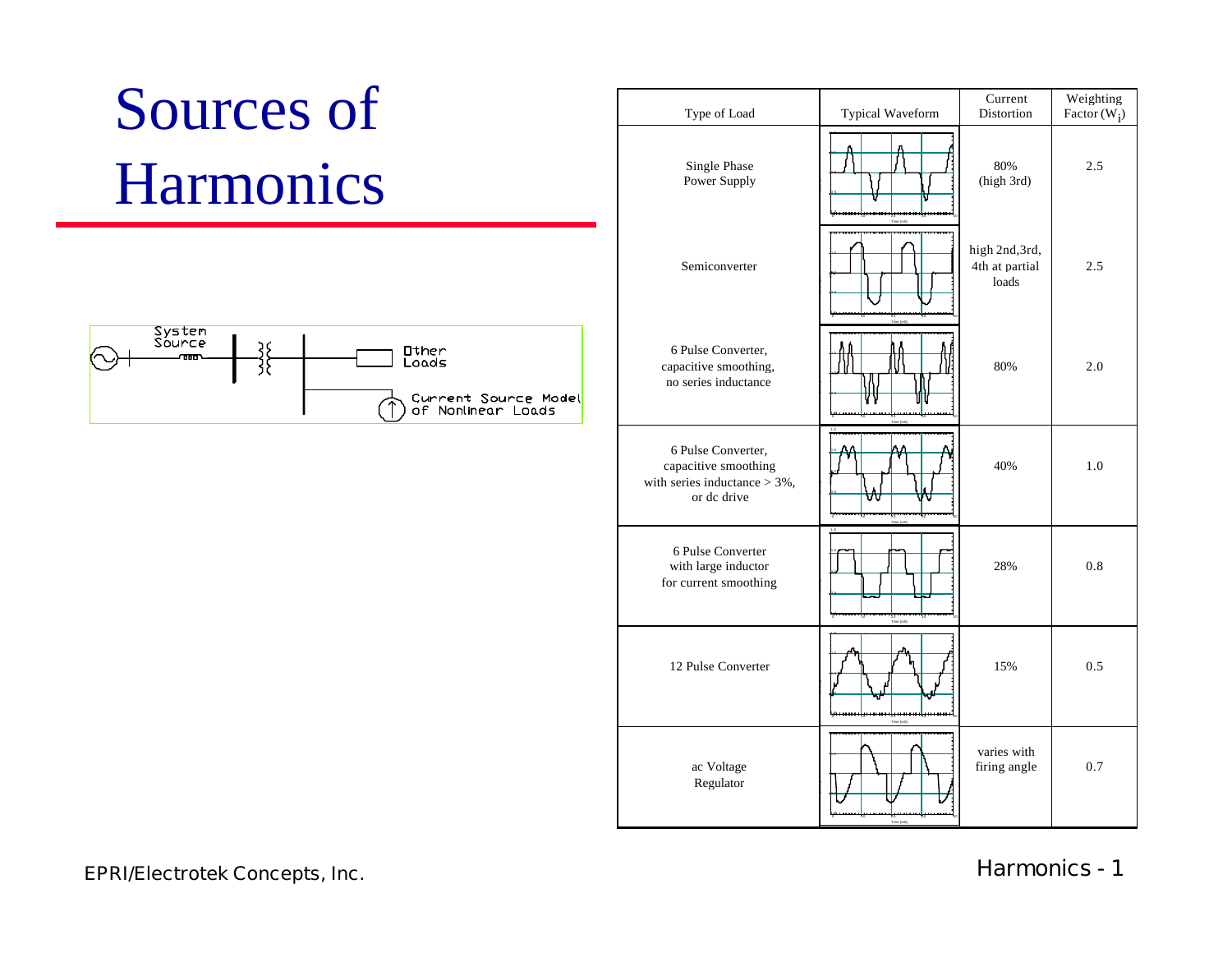# Sources of Harmonics



| Type of Load                                                                                | Typical Waveform | Current<br>Distortion                     | Weighting<br>Factor $(W_i)$ |
|---------------------------------------------------------------------------------------------|------------------|-------------------------------------------|-----------------------------|
| Single Phase<br>Power Supply                                                                |                  | 80%<br>(high 3rd)                         | 2.5                         |
| Semiconverter                                                                               |                  | high 2nd, 3rd,<br>4th at partial<br>loads | 2.5                         |
| 6 Pulse Converter,<br>capacitive smoothing,<br>no series inductance                         |                  | 80%                                       | 2.0                         |
| 6 Pulse Converter,<br>capacitive smoothing<br>with series inductance $>$ 3%,<br>or de drive |                  | 40%                                       | 1.0                         |
| 6 Pulse Converter<br>with large inductor<br>for current smoothing                           |                  | 28%                                       | 0.8                         |
| 12 Pulse Converter                                                                          |                  | 15%                                       | 0.5                         |
| ac Voltage<br>Regulator                                                                     |                  | varies with<br>firing angle               | 0.7                         |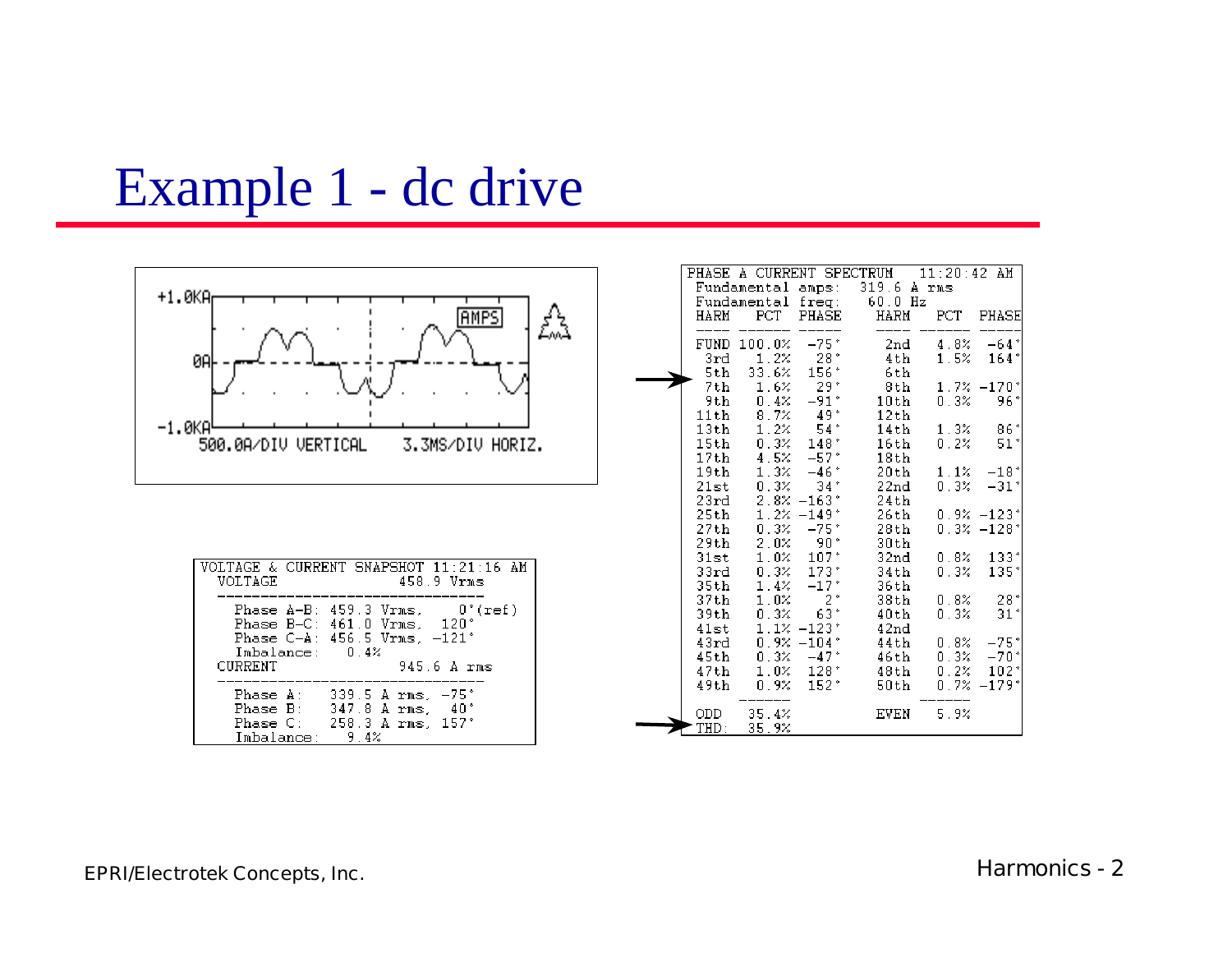### Example 1 - dc drive

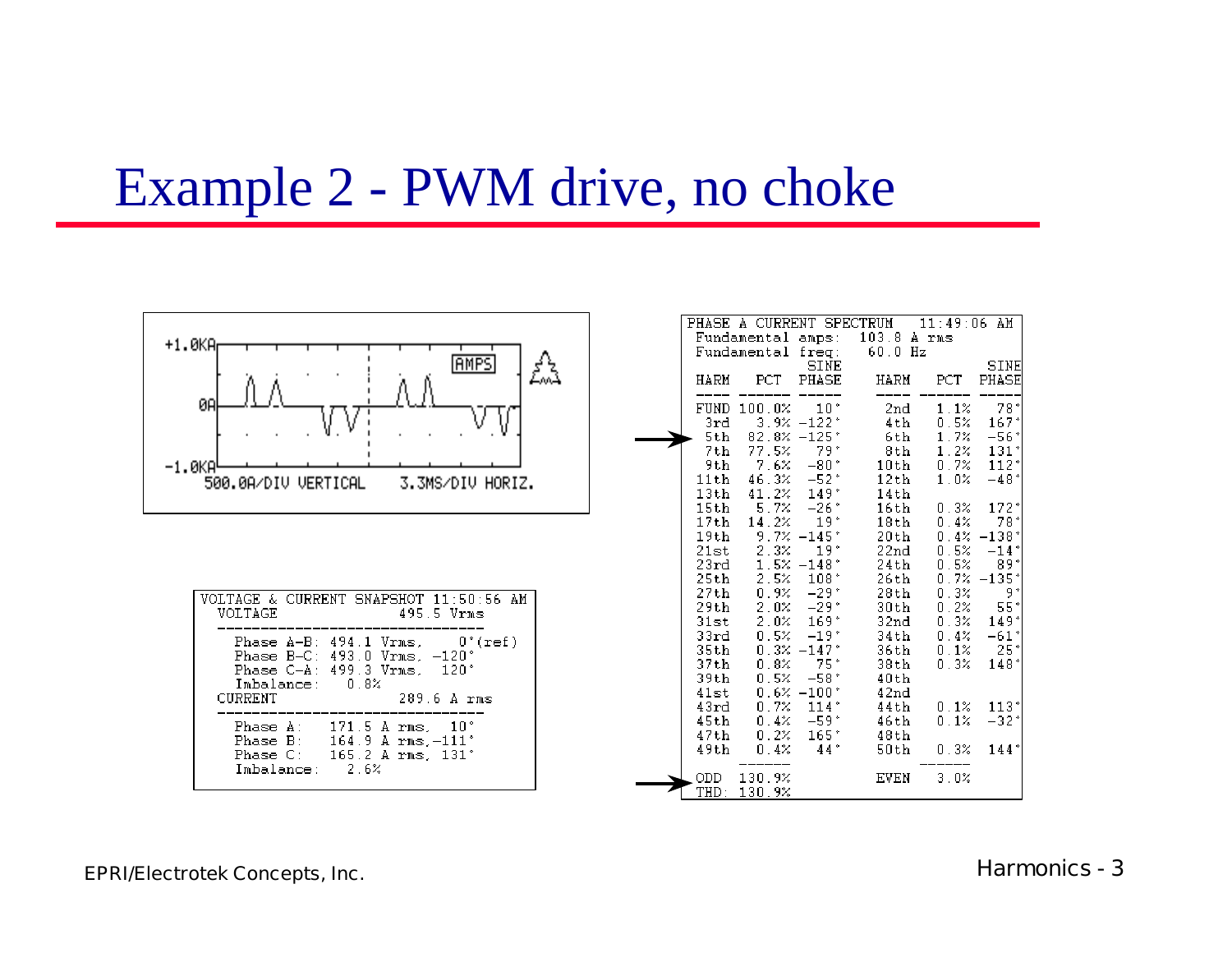### Example 2 - PWM drive, no choke

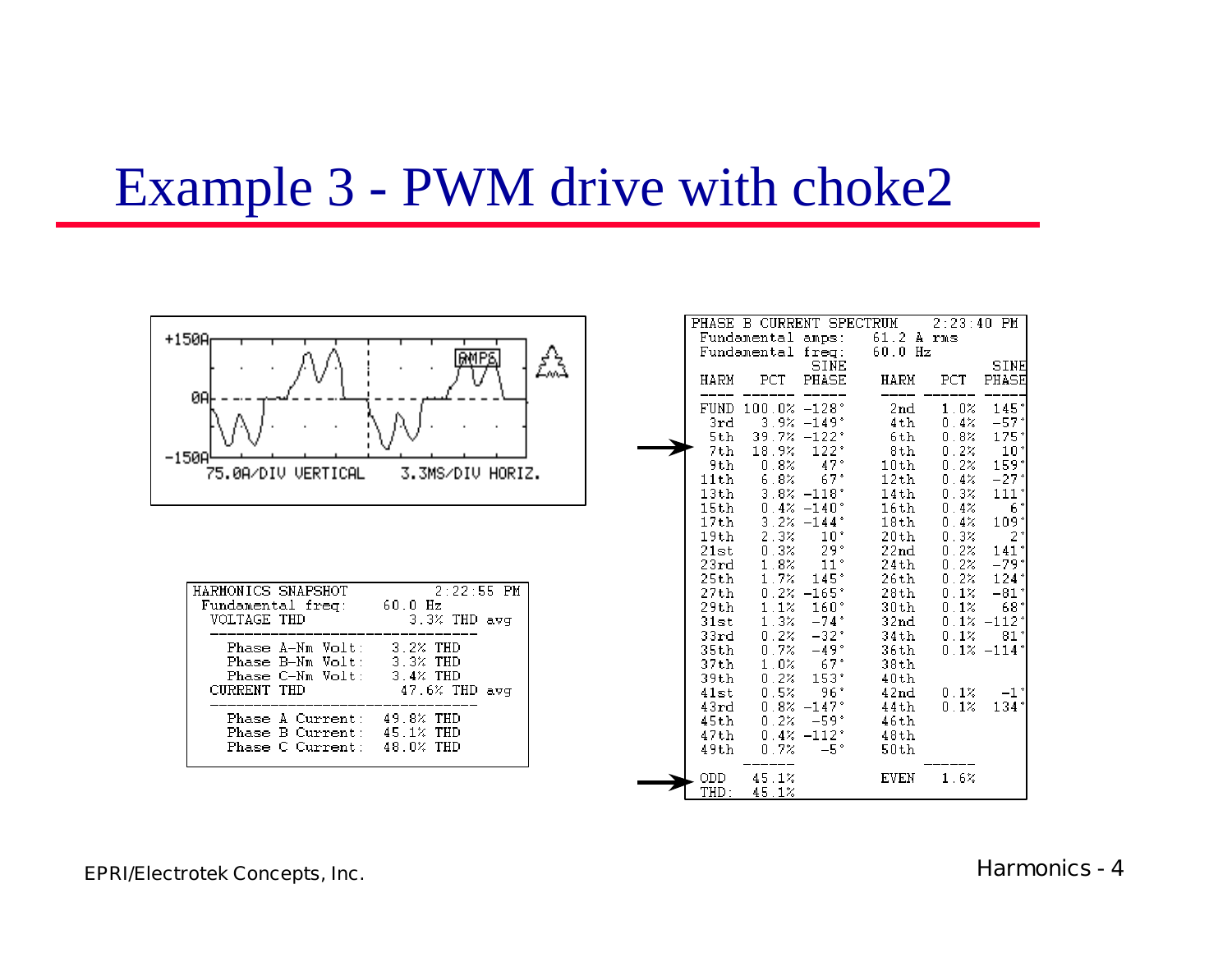### Example 3 - PWM drive with choke2



| HARMONICS SNAPSHOT                                                           | $2:22:55$ PM     |  |  |
|------------------------------------------------------------------------------|------------------|--|--|
| Fundamental freg:                                                            | 60.O Hz          |  |  |
| VOLTAGE THD                                                                  | $3.3%$ THD avg   |  |  |
| Phase A-Nm Volt:                                                             | $3.2%$ THD       |  |  |
| Phase B-Nm Volt:                                                             | 3.3% THD         |  |  |
| $Phase C-Nm Vol t:$                                                          | 3.4% THD         |  |  |
| CURRENT THD                                                                  | $47.6\%$ THD avg |  |  |
| Phase A Current:<br>Phase B Current: 45.1% THD<br>Phase C Current: 48.0% THD | 49.8% THD        |  |  |

|              |                                   |                             | PHASE B CURRENT SPECTRUM 2:23:40 PM<br>Fundamental amps: 61.2 A rms |                              |                            |
|--------------|-----------------------------------|-----------------------------|---------------------------------------------------------------------|------------------------------|----------------------------|
|              | Fundamental freq:                 | SINE                        | $60.0$ Hz                                                           |                              | SINE                       |
| HARM         | $_{\rm PCT}$                      | PHASE                       | HARM                                                                | PCT                          | PHASE                      |
|              | FUND 100.0% -128°                 |                             | 2nd                                                                 |                              | $1.0\%$ 145°               |
| 3rd          | $3.9\% -149^*$<br>5th 39.7% -122° |                             | $4\,\mathrm{th}$<br>6th                                             |                              | $0.4% -57*$<br>$0.8% 175*$ |
|              | 7th 18.9%                         | 122°                        | 8th                                                                 | $0.2\%$                      | 10 <sup>°</sup>            |
| 9th          | $0.8\%$                           | $47*$                       | $10th$ 0.2%                                                         |                              | 159*                       |
|              | 11th $6.8%$ 67°                   |                             | $12th$ 0.4% -27°                                                    |                              |                            |
| 13th         |                                   | $3.8% -118$ <sup>*</sup>    | 14th                                                                |                              | 0.3% 111'                  |
| 15th         | $0.4\% -140^*$                    |                             | 16th                                                                | 0.4%                         | $6*$                       |
|              | $17th$ 3.2% $-144$ °              |                             | 18th                                                                | 0.4%                         | 109*                       |
| 19th -       |                                   | $2.3%$ 10°                  | 20th -                                                              | $0.3%$ 2 <sup>*</sup>        |                            |
| 21st         | $0.3\% - 29^*$                    |                             | 22nd                                                                | $0.2% 141*$                  |                            |
| 23rd         | 1.8%                              | 11 <sup>°</sup>             | 24th                                                                |                              | $0.2% -79*$                |
| 25th         |                                   | $1.7\% - 145$               | 26th                                                                | $0.2%$ 124°                  |                            |
|              | 27th 0.2% -165°                   |                             | 28th 0.1% -81°                                                      |                              |                            |
| 29th -       |                                   | $1.1\%$ 160°<br>$1.3% -74*$ | 30th 0.1% 68°                                                       |                              |                            |
| 31st<br>33rd |                                   | $0.2% -32*$                 | 32nd<br>34th                                                        | $0.1% -112'$<br>$0.1% - 81*$ |                            |
| 35th         |                                   | $0.7\% -49^*$               | 36th                                                                |                              | $0.1\% -114$               |
| 37th         |                                   | $1.0% 67*$                  | 38th                                                                |                              |                            |
| 39th         | $0.2\%$                           | 153°                        | 40th                                                                |                              |                            |
| 41st         |                                   | $0.5% - 96*$                | 42nd                                                                |                              | $0.1\% -1$ <sup>*</sup>    |
| 43rd         |                                   | $0.8\% -147$ *              | 44th                                                                | $0.1\%$                      | 134*                       |
| 45th -       |                                   | $0.2% -59*$                 | 46th                                                                |                              |                            |
| 47th         |                                   | $0.4\% -112\degree$         | 48th                                                                |                              |                            |
| 49th         | 0.7%                              | - 5*                        | 50th                                                                |                              |                            |
| ODD<br>THD:  | 45.1%<br>45.1%                    |                             | EVEN                                                                | 1.6%                         |                            |

#### **EPRI/Electrotek Concepts, Inc. Harmonics - 4**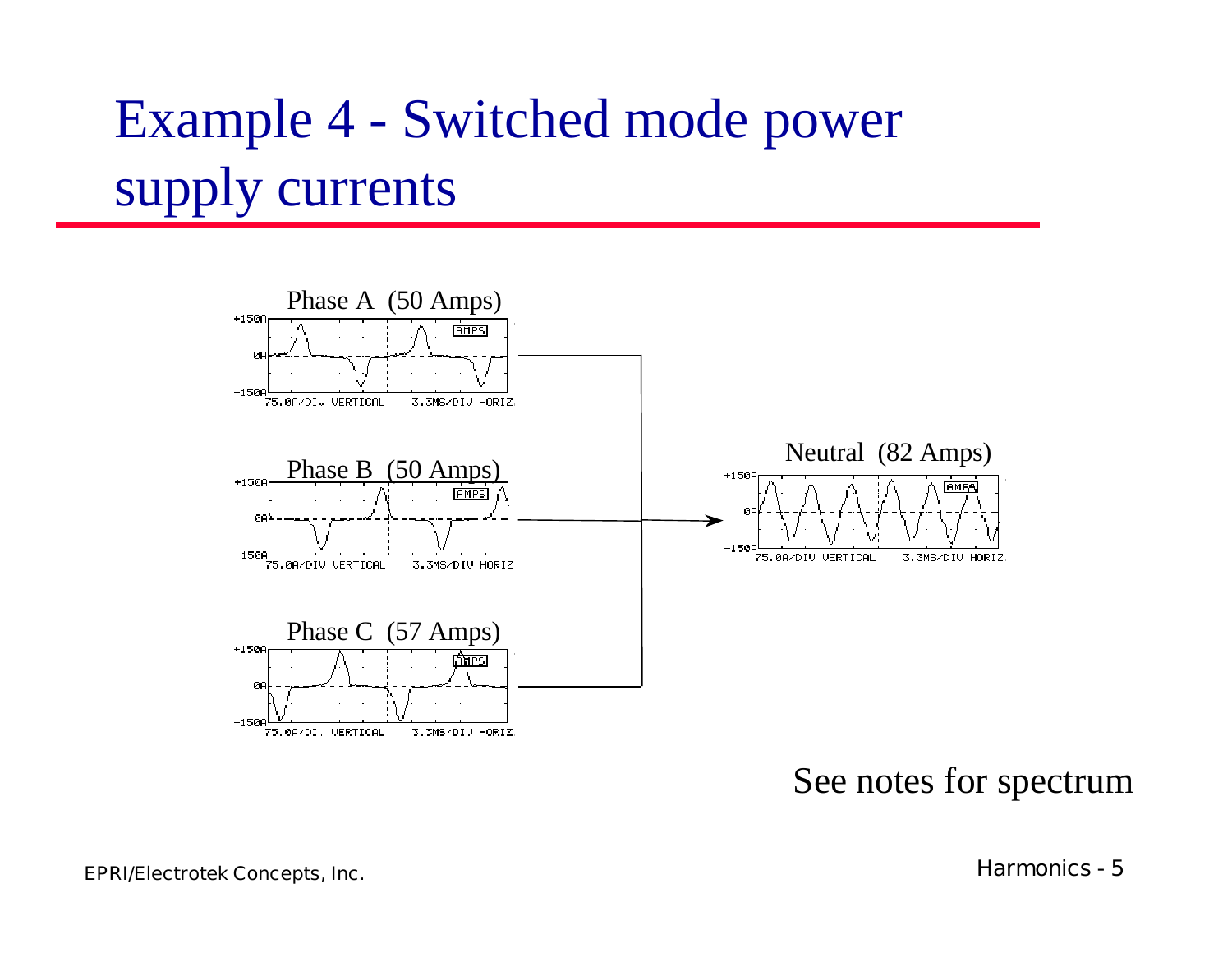## Example 4 - Switched mode power supply currents



#### See notes for spectrum

**EPRI/Electrotek Concepts, Inc. Harmonics - 5**